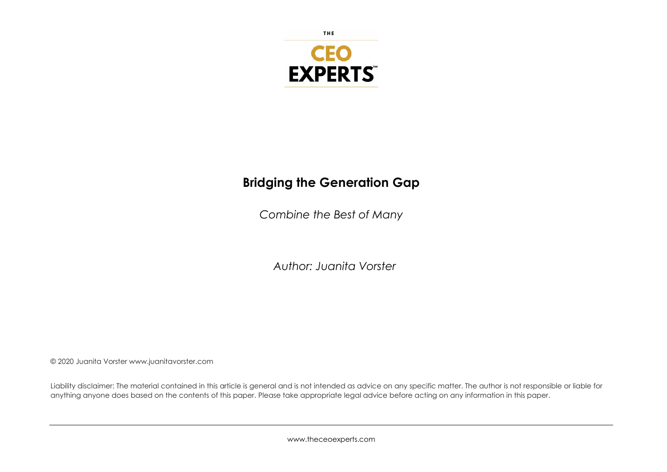

THE

# **Bridging the Generation Gap**

*Combine the Best of Many*

*Author: Juanita Vorster*

© 2020 Juanita Vorster www.juanitavorster.com

Liability disclaimer: The material contained in this article is general and is not intended as advice on any specific matter. The author is not responsible or liable for anything anyone does based on the contents of this paper. Please take appropriate legal advice before acting on any information in this paper.

www.theceoexperts.com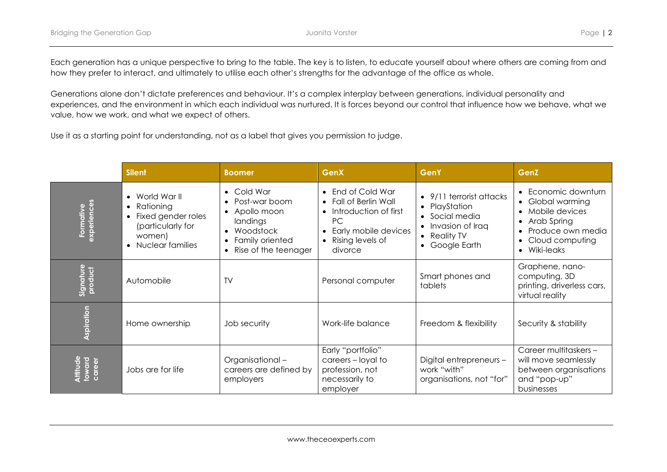Each generation has a unique perspective to bring to the table. The key is to listen, to educate yourself about where others are coming from and how they prefer to interact, and ultimately to utilise each other's strengths for the advantage of the office as whole.

Generations alone don't dictate preferences and behaviour. It's a complex interplay between generations, individual personality and experiences, and the environment in which each individual was nurtured. It is forces beyond our control that influence how we behave, what we value, how we work, and what we expect of others.

Use it as a starting point for understanding, not as a label that gives you permission to judge.

|                              | <b>Silent</b>                                                                                                                             | <b>Boomer</b>                                                                                                                                                    | <b>GenX</b>                                                                                                                                                       | <b>GenY</b>                                                                                                     | GenZ                                                                                                                         |
|------------------------------|-------------------------------------------------------------------------------------------------------------------------------------------|------------------------------------------------------------------------------------------------------------------------------------------------------------------|-------------------------------------------------------------------------------------------------------------------------------------------------------------------|-----------------------------------------------------------------------------------------------------------------|------------------------------------------------------------------------------------------------------------------------------|
| Formative<br>experiences     | World War II<br>Rationing<br>$\bullet$<br>Fixed gender roles<br>$\bullet$<br>(particularly for<br>women)<br>Nuclear families<br>$\bullet$ | Cold War<br>Post-war boom<br>Apollo moon<br>$\bullet$<br>landings<br>Woodstock<br>$\bullet$<br>Family oriented<br>$\bullet$<br>Rise of the teenager<br>$\bullet$ | • End of Cold War<br>• Fall of Berlin Wall<br>Introduction of first<br><b>PC</b><br>Early mobile devices<br>$\bullet$<br>Rising levels of<br>$\bullet$<br>divorce | 9/11 terrorist attacks<br>• PlayStation<br>• Social media<br>• Invasion of Iraq<br>• Reality TV<br>Google Earth | Economic downturn<br>Global warming<br>Mobile devices<br>Arab Spring<br>Produce own media<br>Cloud computing<br>• Wiki-leaks |
| Signature<br>product         | Automobile                                                                                                                                | <b>TV</b>                                                                                                                                                        | Personal computer                                                                                                                                                 | Smart phones and<br>tablets                                                                                     | Graphene, nano-<br>computing, 3D<br>printing, driverless cars,<br>virtual reality                                            |
| <b>Aspiration</b>            | Home ownership                                                                                                                            | Job security                                                                                                                                                     | Work-life balance                                                                                                                                                 | Freedom & flexibility                                                                                           | Security & stability                                                                                                         |
| Attitude<br>toward<br>career | Jobs are for life                                                                                                                         | Organisational-<br>careers are defined by<br>employers                                                                                                           | Early "portfolio"<br>careers - loyal to<br>profession, not<br>necessarily to<br>employer                                                                          | Digital entrepreneurs -<br>work "with"<br>organisations, not "for"                                              | Career multitaskers -<br>will move seamlessly<br>between organisations<br>and "pop-up"<br><b>businesses</b>                  |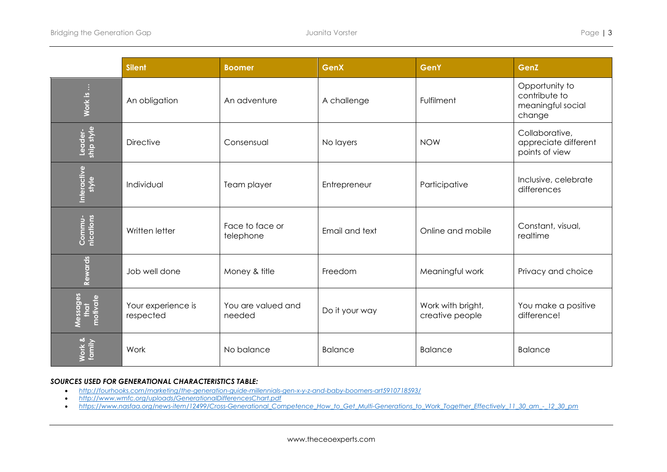|                              | <b>Silent</b>                   | <b>Boomer</b>                | <b>GenX</b>    | <b>GenY</b>                          | GenZ                                                           |
|------------------------------|---------------------------------|------------------------------|----------------|--------------------------------------|----------------------------------------------------------------|
| Work is                      | An obligation                   | An adventure                 | A challenge    | Fulfilment                           | Opportunity to<br>contribute to<br>meaningful social<br>change |
| Leader-<br>ship style        | <b>Directive</b>                | Consensual                   | No layers      | <b>NOW</b>                           | Collaborative,<br>appreciate different<br>points of view       |
| Interactive<br>style         | Individual                      | Team player                  | Entrepreneur   | Participative                        | Inclusive, celebrate<br>differences                            |
| Commu-<br>nications          | Written letter                  | Face to face or<br>telephone | Email and text | Online and mobile                    | Constant, visual,<br>realtime                                  |
| Rewards                      | Job well done                   | Money & title                | Freedom        | Meaningful work                      | Privacy and choice                                             |
| Messages<br>that<br>motivate | Your experience is<br>respected | You are valued and<br>needed | Do it your way | Work with bright,<br>creative people | You make a positive<br>difference!                             |
| Work &<br>family             | Work                            | No balance                   | <b>Balance</b> | <b>Balance</b>                       | <b>Balance</b>                                                 |

# *SOURCES USED FOR GENERATIONAL CHARACTERISTICS TABLE:*

- *http://fourhooks.com/marketing/the-generation-guide-millennials-gen-x-y-z-and-baby-boomers-art5910718593/*
- *http://www.wmfc.org/uploads/GenerationalDifferencesChart.pdf*
- *https://www.nasfaa.org/news-item/12499/Cross-Generational\_Competence\_How\_to\_Get\_Multi-Generations\_to\_Work\_Together\_Effectively\_11\_30\_am\_-\_12\_30\_pm*